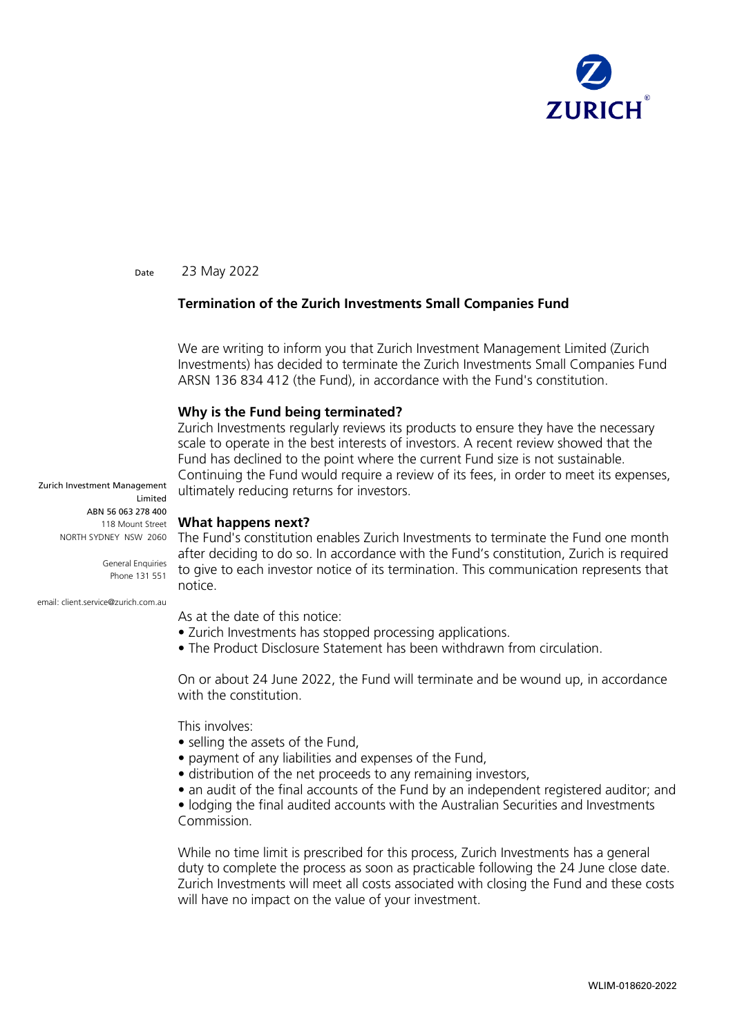

Date 23 May 2022

## **Termination of the Zurich Investments Small Companies Fund**

We are writing to inform you that Zurich Investment Management Limited (Zurich Investments) has decided to terminate the Zurich Investments Small Companies Fund ARSN 136 834 412 (the Fund), in accordance with the Fund's constitution.

## **Why is the Fund being terminated?**

Zurich Investments regularly reviews its products to ensure they have the necessary scale to operate in the best interests of investors. A recent review showed that the Fund has declined to the point where the current Fund size is not sustainable. Continuing the Fund would require a review of its fees, in order to meet its expenses, ultimately reducing returns for investors.

**What happens next?**

NORTH SYDNEY NSW 2060 The Fund's constitution enables Zurich Investments to terminate the Fund one month after deciding to do so. In accordance with the Fund's constitution, Zurich is required to give to each investor notice of its termination. This communication represents that notice.

As at the date of this notice:

- Zurich Investments has stopped processing applications.
- The Product Disclosure Statement has been withdrawn from circulation.

On or about 24 June 2022, the Fund will terminate and be wound up, in accordance with the constitution.

This involves:

- selling the assets of the Fund,
- payment of any liabilities and expenses of the Fund,
- distribution of the net proceeds to any remaining investors,
- an audit of the final accounts of the Fund by an independent registered auditor; and

• lodging the final audited accounts with the Australian Securities and Investments Commission.

While no time limit is prescribed for this process, Zurich Investments has a general duty to complete the process as soon as practicable following the 24 June close date. Zurich Investments will meet all costs associated with closing the Fund and these costs will have no impact on the value of your investment.

Zurich Investment Management Limited ABN 56 063 278 400 118 Mount Street

> General Enquiries Phone 131 551

email: client.service@zurich.com.au